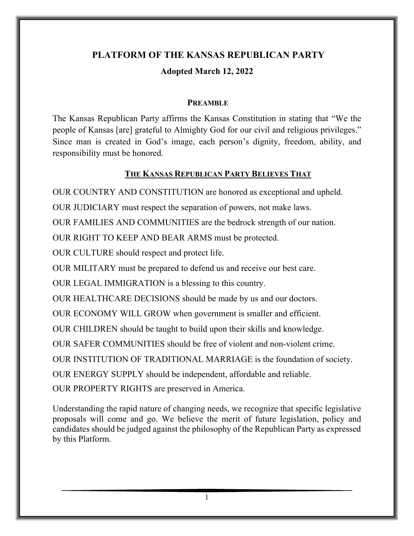# **PLATFORM OF THE KANSAS REPUBLICAN PARTY Adopted March 12, 2022**

#### **PREAMBLE**

The Kansas Republican Party affirms the Kansas Constitution in stating that "We the people of Kansas [are] grateful to Almighty God for our civil and religious privileges." Since man is created in God's image, each person's dignity, freedom, ability, and responsibility must be honored.

#### **THE KANSAS REPUBLICAN PARTY BELIEVES THAT**

OUR COUNTRY AND CONSTITUTION are honored as exceptional and upheld.

OUR JUDICIARY must respect the separation of powers, not make laws.

OUR FAMILIES AND COMMUNITIES are the bedrock strength of our nation.

OUR RIGHT TO KEEP AND BEAR ARMS must be protected.

OUR CULTURE should respect and protect life.

OUR MILITARY must be prepared to defend us and receive our best care.

OUR LEGAL IMMIGRATION is a blessing to this country.

OUR HEALTHCARE DECISIONS should be made by us and our doctors.

OUR ECONOMY WILL GROW when government is smaller and efficient.

OUR CHILDREN should be taught to build upon their skills and knowledge.

OUR SAFER COMMUNITIES should be free of violent and non-violent crime.

OUR INSTITUTION OF TRADITIONAL MARRIAGE is the foundation of society.

OUR ENERGY SUPPLY should be independent, affordable and reliable.

OUR PROPERTY RIGHTS are preserved in America.

Understanding the rapid nature of changing needs, we recognize that specific legislative proposals will come and go. We believe the merit of future legislation, policy and candidates should be judged against the philosophy of the Republican Party as expressed by this Platform.

1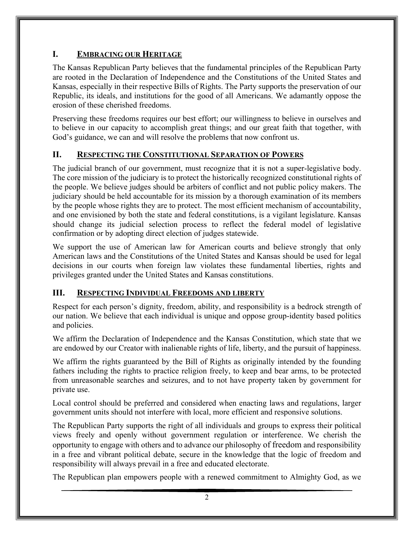## **I. EMBRACING OUR HERITAGE**

The Kansas Republican Party believes that the fundamental principles of the Republican Party are rooted in the Declaration of Independence and the Constitutions of the United States and Kansas, especially in their respective Bills of Rights. The Party supports the preservation of our Republic, its ideals, and institutions for the good of all Americans. We adamantly oppose the erosion of these cherished freedoms.

Preserving these freedoms requires our best effort; our willingness to believe in ourselves and to believe in our capacity to accomplish great things; and our great faith that together, with God's guidance, we can and will resolve the problems that now confront us.

## **II. RESPECTING THE CONSTITUTIONAL SEPARATION OF POWERS**

The judicial branch of our government, must recognize that it is not a super-legislative body. The core mission of the judiciary is to protect the historically recognized constitutional rights of the people. We believe judges should be arbiters of conflict and not public policy makers. The judiciary should be held accountable for its mission by a thorough examination of its members by the people whose rights they are to protect. The most efficient mechanism of accountability, and one envisioned by both the state and federal constitutions, is a vigilant legislature. Kansas should change its judicial selection process to reflect the federal model of legislative confirmation or by adopting direct election of judges statewide.

We support the use of American law for American courts and believe strongly that only American laws and the Constitutions of the United States and Kansas should be used for legal decisions in our courts when foreign law violates these fundamental liberties, rights and privileges granted under the United States and Kansas constitutions.

## **III. RESPECTING INDIVIDUAL FREEDOMS AND LIBERTY**

Respect for each person's dignity, freedom, ability, and responsibility is a bedrock strength of our nation. We believe that each individual is unique and oppose group-identity based politics and policies.

We affirm the Declaration of Independence and the Kansas Constitution, which state that we are endowed by our Creator with inalienable rights of life, liberty, and the pursuit of happiness.

We affirm the rights guaranteed by the Bill of Rights as originally intended by the founding fathers including the rights to practice religion freely, to keep and bear arms, to be protected from unreasonable searches and seizures, and to not have property taken by government for private use.

Local control should be preferred and considered when enacting laws and regulations, larger government units should not interfere with local, more efficient and responsive solutions.

The Republican Party supports the right of all individuals and groups to express their political views freely and openly without government regulation or interference. We cherish the opportunity to engage with others and to advance our philosophy of freedom and responsibility in a free and vibrant political debate, secure in the knowledge that the logic of freedom and responsibility will always prevail in a free and educated electorate.

The Republican plan empowers people with a renewed commitment to Almighty God, as we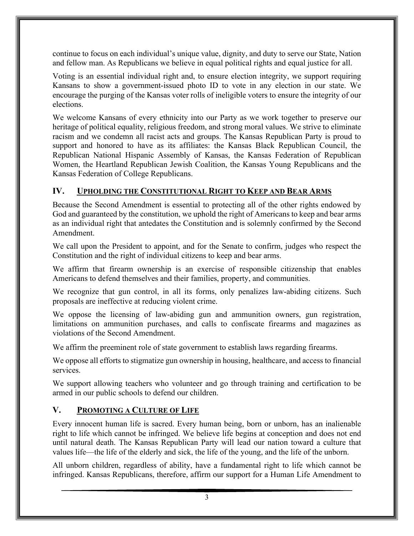continue to focus on each individual's unique value, dignity, and duty to serve our State, Nation and fellow man. As Republicans we believe in equal political rights and equal justice for all.

Voting is an essential individual right and, to ensure election integrity, we support requiring Kansans to show a government-issued photo ID to vote in any election in our state. We encourage the purging of the Kansas voter rolls of ineligible voters to ensure the integrity of our elections.

We welcome Kansans of every ethnicity into our Party as we work together to preserve our heritage of political equality, religious freedom, and strong moral values. We strive to eliminate racism and we condemn all racist acts and groups. The Kansas Republican Party is proud to support and honored to have as its affiliates: the Kansas Black Republican Council, the Republican National Hispanic Assembly of Kansas, the Kansas Federation of Republican Women, the Heartland Republican Jewish Coalition, the Kansas Young Republicans and the Kansas Federation of College Republicans.

## **IV. UPHOLDING THE CONSTITUTIONAL RIGHT TO KEEP AND BEAR ARMS**

Because the Second Amendment is essential to protecting all of the other rights endowed by God and guaranteed by the constitution, we uphold the right of Americans to keep and bear arms as an individual right that antedates the Constitution and is solemnly confirmed by the Second Amendment.

We call upon the President to appoint, and for the Senate to confirm, judges who respect the Constitution and the right of individual citizens to keep and bear arms.

We affirm that firearm ownership is an exercise of responsible citizenship that enables Americans to defend themselves and their families, property, and communities.

We recognize that gun control, in all its forms, only penalizes law-abiding citizens. Such proposals are ineffective at reducing violent crime.

We oppose the licensing of law-abiding gun and ammunition owners, gun registration, limitations on ammunition purchases, and calls to confiscate firearms and magazines as violations of the Second Amendment.

We affirm the preeminent role of state government to establish laws regarding firearms.

We oppose all efforts to stigmatize gun ownership in housing, healthcare, and access to financial services.

We support allowing teachers who volunteer and go through training and certification to be armed in our public schools to defend our children.

#### **V. PROMOTING A CULTURE OF LIFE**

Every innocent human life is sacred. Every human being, born or unborn, has an inalienable right to life which cannot be infringed. We believe life begins at conception and does not end until natural death. The Kansas Republican Party will lead our nation toward a culture that values life—the life of the elderly and sick, the life of the young, and the life of the unborn.

All unborn children, regardless of ability, have a fundamental right to life which cannot be infringed. Kansas Republicans, therefore, affirm our support for a Human Life Amendment to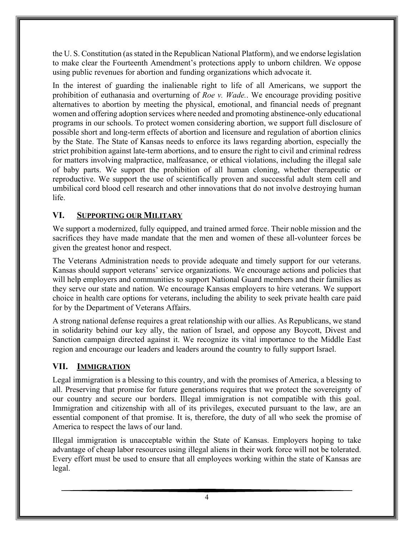the U. S. Constitution (as stated in the Republican National Platform), and we endorse legislation to make clear the Fourteenth Amendment's protections apply to unborn children. We oppose using public revenues for abortion and funding organizations which advocate it.

In the interest of guarding the inalienable right to life of all Americans, we support the prohibition of euthanasia and overturning of *Roe v. Wade.*. We encourage providing positive alternatives to abortion by meeting the physical, emotional, and financial needs of pregnant women and offering adoption services where needed and promoting abstinence-only educational programs in our schools. To protect women considering abortion, we support full disclosure of possible short and long-term effects of abortion and licensure and regulation of abortion clinics by the State. The State of Kansas needs to enforce its laws regarding abortion, especially the strict prohibition against late-term abortions, and to ensure the right to civil and criminal redress for matters involving malpractice, malfeasance, or ethical violations, including the illegal sale of baby parts. We support the prohibition of all human cloning, whether therapeutic or reproductive. We support the use of scientifically proven and successful adult stem cell and umbilical cord blood cell research and other innovations that do not involve destroying human life.

# **VI. SUPPORTING OUR MILITARY**

We support a modernized, fully equipped, and trained armed force. Their noble mission and the sacrifices they have made mandate that the men and women of these all-volunteer forces be given the greatest honor and respect.

The Veterans Administration needs to provide adequate and timely support for our veterans. Kansas should support veterans' service organizations. We encourage actions and policies that will help employers and communities to support National Guard members and their families as they serve our state and nation. We encourage Kansas employers to hire veterans. We support choice in health care options for veterans, including the ability to seek private health care paid for by the Department of Veterans Affairs.

A strong national defense requires a great relationship with our allies. As Republicans, we stand in solidarity behind our key ally, the nation of Israel, and oppose any Boycott, Divest and Sanction campaign directed against it. We recognize its vital importance to the Middle East region and encourage our leaders and leaders around the country to fully support Israel.

## **VII. IMMIGRATION**

Legal immigration is a blessing to this country, and with the promises of America, a blessing to all. Preserving that promise for future generations requires that we protect the sovereignty of our country and secure our borders. Illegal immigration is not compatible with this goal. Immigration and citizenship with all of its privileges, executed pursuant to the law, are an essential component of that promise. It is, therefore, the duty of all who seek the promise of America to respect the laws of our land.

Illegal immigration is unacceptable within the State of Kansas. Employers hoping to take advantage of cheap labor resources using illegal aliens in their work force will not be tolerated. Every effort must be used to ensure that all employees working within the state of Kansas are legal.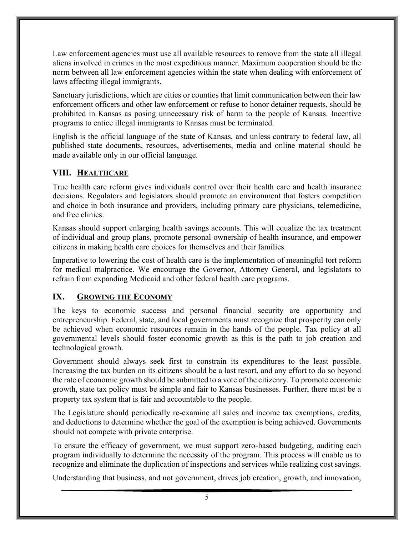Law enforcement agencies must use all available resources to remove from the state all illegal aliens involved in crimes in the most expeditious manner. Maximum cooperation should be the norm between all law enforcement agencies within the state when dealing with enforcement of laws affecting illegal immigrants.

Sanctuary jurisdictions, which are cities or counties that limit communication between their law enforcement officers and other law enforcement or refuse to honor detainer requests, should be prohibited in Kansas as posing unnecessary risk of harm to the people of Kansas. Incentive programs to entice illegal immigrants to Kansas must be terminated.

English is the official language of the state of Kansas, and unless contrary to federal law, all published state documents, resources, advertisements, media and online material should be made available only in our official language.

# **VIII. HEALTHCARE**

True health care reform gives individuals control over their health care and health insurance decisions. Regulators and legislators should promote an environment that fosters competition and choice in both insurance and providers, including primary care physicians, telemedicine, and free clinics.

Kansas should support enlarging health savings accounts. This will equalize the tax treatment of individual and group plans, promote personal ownership of health insurance, and empower citizens in making health care choices for themselves and their families.

Imperative to lowering the cost of health care is the implementation of meaningful tort reform for medical malpractice. We encourage the Governor, Attorney General, and legislators to refrain from expanding Medicaid and other federal health care programs.

#### **IX. GROWING THE ECONOMY**

The keys to economic success and personal financial security are opportunity and entrepreneurship. Federal, state, and local governments must recognize that prosperity can only be achieved when economic resources remain in the hands of the people. Tax policy at all governmental levels should foster economic growth as this is the path to job creation and technological growth.

Government should always seek first to constrain its expenditures to the least possible. Increasing the tax burden on its citizens should be a last resort, and any effort to do so beyond the rate of economic growth should be submitted to a vote of the citizenry. To promote economic growth, state tax policy must be simple and fair to Kansas businesses. Further, there must be a property tax system that is fair and accountable to the people.

The Legislature should periodically re-examine all sales and income tax exemptions, credits, and deductions to determine whether the goal of the exemption is being achieved. Governments should not compete with private enterprise.

To ensure the efficacy of government, we must support zero-based budgeting, auditing each program individually to determine the necessity of the program. This process will enable us to recognize and eliminate the duplication of inspections and services while realizing cost savings.

Understanding that business, and not government, drives job creation, growth, and innovation,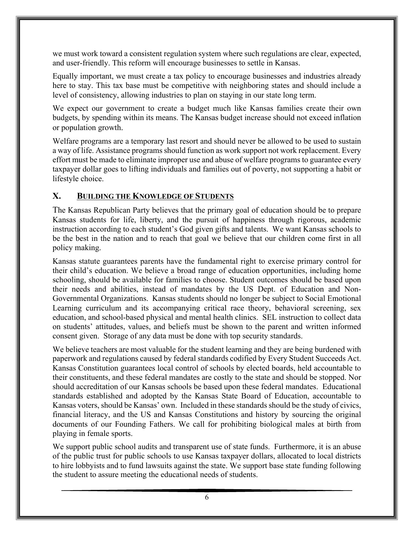we must work toward a consistent regulation system where such regulations are clear, expected, and user-friendly. This reform will encourage businesses to settle in Kansas.

Equally important, we must create a tax policy to encourage businesses and industries already here to stay. This tax base must be competitive with neighboring states and should include a level of consistency, allowing industries to plan on staying in our state long term.

We expect our government to create a budget much like Kansas families create their own budgets, by spending within its means. The Kansas budget increase should not exceed inflation or population growth.

Welfare programs are a temporary last resort and should never be allowed to be used to sustain a way of life. Assistance programs should function as work support not work replacement. Every effort must be made to eliminate improper use and abuse of welfare programs to guarantee every taxpayer dollar goes to lifting individuals and families out of poverty, not supporting a habit or lifestyle choice.

#### **X. BUILDING THE KNOWLEDGE OF STUDENTS**

The Kansas Republican Party believes that the primary goal of education should be to prepare Kansas students for life, liberty, and the pursuit of happiness through rigorous, academic instruction according to each student's God given gifts and talents. We want Kansas schools to be the best in the nation and to reach that goal we believe that our children come first in all policy making.

Kansas statute guarantees parents have the fundamental right to exercise primary control for their child's education. We believe a broad range of education opportunities, including home schooling, should be available for families to choose. Student outcomes should be based upon their needs and abilities, instead of mandates by the US Dept. of Education and Non-Governmental Organizations. Kansas students should no longer be subject to Social Emotional Learning curriculum and its accompanying critical race theory, behavioral screening, sex education, and school-based physical and mental health clinics. SEL instruction to collect data on students' attitudes, values, and beliefs must be shown to the parent and written informed consent given. Storage of any data must be done with top security standards.

We believe teachers are most valuable for the student learning and they are being burdened with paperwork and regulations caused by federal standards codified by Every Student Succeeds Act. Kansas Constitution guarantees local control of schools by elected boards, held accountable to their constituents, and these federal mandates are costly to the state and should be stopped. Nor should accreditation of our Kansas schools be based upon these federal mandates. Educational standards established and adopted by the Kansas State Board of Education, accountable to Kansas voters, should be Kansas' own. Included in these standards should be the study of civics, financial literacy, and the US and Kansas Constitutions and history by sourcing the original documents of our Founding Fathers. We call for prohibiting biological males at birth from playing in female sports.

We support public school audits and transparent use of state funds. Furthermore, it is an abuse of the public trust for public schools to use Kansas taxpayer dollars, allocated to local districts to hire lobbyists and to fund lawsuits against the state. We support base state funding following the student to assure meeting the educational needs of students.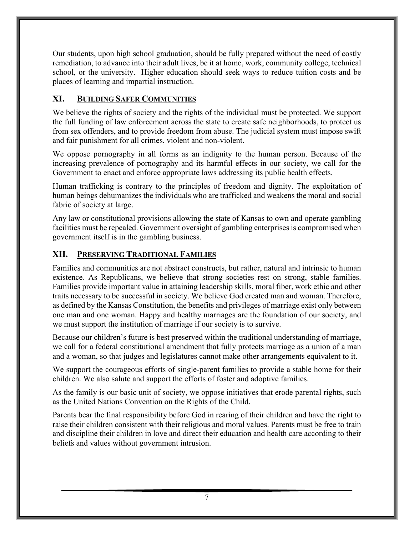Our students, upon high school graduation, should be fully prepared without the need of costly remediation, to advance into their adult lives, be it at home, work, community college, technical school, or the university. Higher education should seek ways to reduce tuition costs and be places of learning and impartial instruction.

## **XI. BUILDING SAFER COMMUNITIES**

We believe the rights of society and the rights of the individual must be protected. We support the full funding of law enforcement across the state to create safe neighborhoods, to protect us from sex offenders, and to provide freedom from abuse. The judicial system must impose swift and fair punishment for all crimes, violent and non-violent.

We oppose pornography in all forms as an indignity to the human person. Because of the increasing prevalence of pornography and its harmful effects in our society, we call for the Government to enact and enforce appropriate laws addressing its public health effects.

Human trafficking is contrary to the principles of freedom and dignity. The exploitation of human beings dehumanizes the individuals who are trafficked and weakens the moral and social fabric of society at large.

Any law or constitutional provisions allowing the state of Kansas to own and operate gambling facilities must be repealed. Government oversight of gambling enterprises is compromised when government itself is in the gambling business.

# **XII. PRESERVING TRADITIONAL FAMILIES**

Families and communities are not abstract constructs, but rather, natural and intrinsic to human existence. As Republicans, we believe that strong societies rest on strong, stable families. Families provide important value in attaining leadership skills, moral fiber, work ethic and other traits necessary to be successful in society. We believe God created man and woman. Therefore, as defined by the Kansas Constitution, the benefits and privileges of marriage exist only between one man and one woman. Happy and healthy marriages are the foundation of our society, and we must support the institution of marriage if our society is to survive.

Because our children's future is best preserved within the traditional understanding of marriage, we call for a federal constitutional amendment that fully protects marriage as a union of a man and a woman, so that judges and legislatures cannot make other arrangements equivalent to it.

We support the courageous efforts of single-parent families to provide a stable home for their children. We also salute and support the efforts of foster and adoptive families.

As the family is our basic unit of society, we oppose initiatives that erode parental rights, such as the United Nations Convention on the Rights of the Child.

Parents bear the final responsibility before God in rearing of their children and have the right to raise their children consistent with their religious and moral values. Parents must be free to train and discipline their children in love and direct their education and health care according to their beliefs and values without government intrusion.